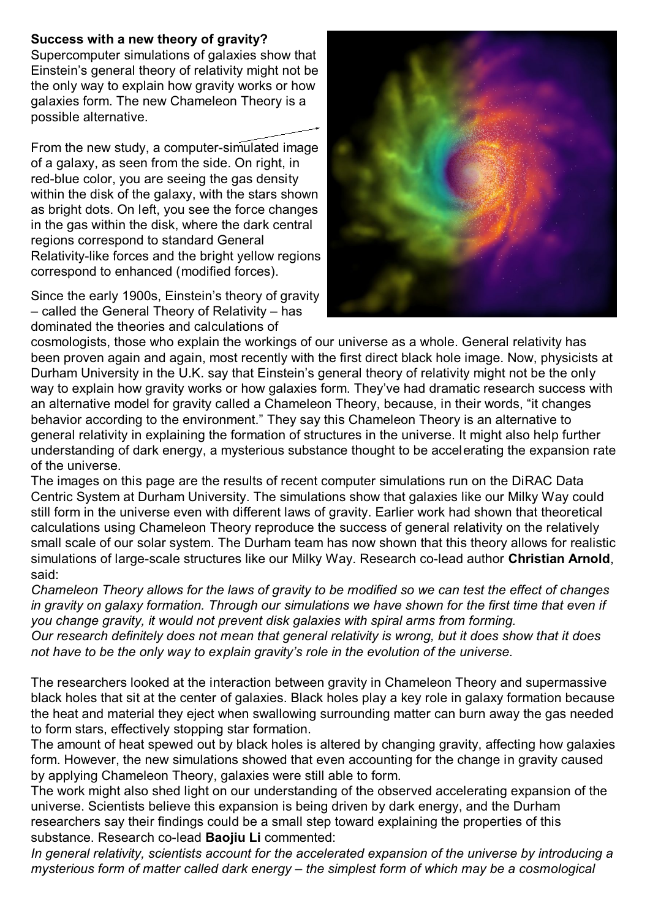## **Success with a new theory of gravity?**

Supercomputer simulations of galaxies show that Einstein's general theory of relativity might not be the only way to explain how gravity works or how galaxies form. The new Chameleon Theory is a possible alternative.

From the new study, a computer-simulated image of a galaxy, as seen from the side. On right, in red-blue color, you are seeing the gas density within the disk of the galaxy, with the stars shown as bright dots. On left, you see the force changes in the gas within the disk, where the dark central regions correspond to standard General Relativity-like forces and the bright yellow regions correspond to enhanced (modified forces).

Since the early 1900s, Einstein's theory of gravity – called the General Theory of Relativity – has dominated the theories and calculations of



cosmologists, those who explain the workings of our universe as a whole. General relativity has been proven again and again, most recently with the first direct black hole image. Now, physicists at Durham University in the U.K. say that Einstein's general theory of relativity might not be the only way to explain how gravity works or how galaxies form. They've had dramatic research success with an alternative model for gravity called a Chameleon Theory, because, in their words, "it changes behavior according to the environment." They say this Chameleon Theory is an alternative to general relativity in explaining the formation of structures in the universe. It might also help further understanding of dark energy, a mysterious substance thought to be accelerating the expansion rate of the universe.

The images on this page are the results of recent computer simulations run on the DiRAC Data Centric System at Durham University. The simulations show that galaxies like our Milky Way could still form in the universe even with different laws of gravity. Earlier work had shown that theoretical calculations using Chameleon Theory reproduce the success of general relativity on the relatively small scale of our solar system. The Durham team has now shown that this theory allows for realistic simulations of large-scale structures like our Milky Way. Research co-lead author **Christian Arnold**, said:

*Chameleon Theory allows for the laws of gravity to be modified so we can test the effect of changes in gravity on galaxy formation. Through our simulations we have shown for the first time that even if you change gravity, it would not prevent disk galaxies with spiral arms from forming.*

*Our research definitely does not mean that general relativity is wrong, but it does show that it does not have to be the only way to explain gravity's role in the evolution of the universe.*

The researchers looked at the interaction between gravity in Chameleon Theory and supermassive black holes that sit at the center of galaxies. Black holes play a key role in galaxy formation because the heat and material they eject when swallowing surrounding matter can burn away the gas needed to form stars, effectively stopping star formation.

The amount of heat spewed out by black holes is altered by changing gravity, affecting how galaxies form. However, the new simulations showed that even accounting for the change in gravity caused by applying Chameleon Theory, galaxies were still able to form.

The work might also shed light on our understanding of the observed accelerating expansion of the universe. Scientists believe this expansion is being driven by dark energy, and the Durham researchers say their findings could be a small step toward explaining the properties of this substance. Research co-lead **Baojiu Li** commented:

*In general relativity, scientists account for the accelerated expansion of the universe by introducing a mysterious form of matter called dark energy – the simplest form of which may be a cosmological*